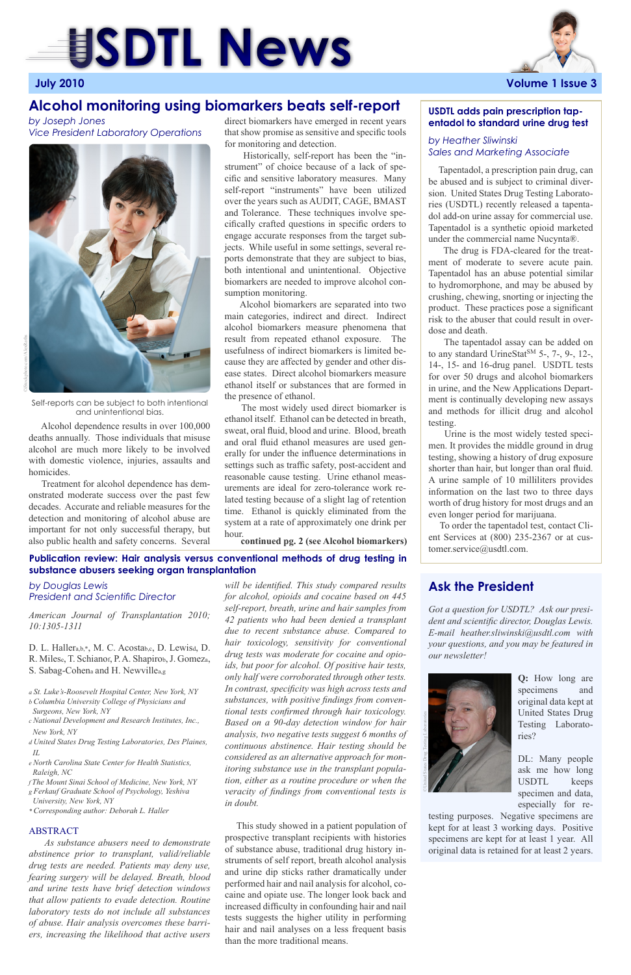*will be identified. This study compared results for alcohol, opioids and cocaine based on 445 self-report, breath, urine and hair samples from 42 patients who had been denied a transplant due to recent substance abuse. Compared to hair toxicology, sensitivity for conventional drug tests was moderate for cocaine and opioids, but poor for alcohol. Of positive hair tests, only half were corroborated through other tests. In contrast, specificity was high across tests and substances, with positive findings from conventional tests confirmed through hair toxicology.* 

*Based on a 90-day detection window for hair analysis, two negative tests suggest 6 months of continuous abstinence. Hair testing should be considered as an alternative approach for monitoring substance use in the transplant population, either as a routine procedure or when the veracity of findings from conventional tests is in doubt.*

 This study showed in a patient population of prospective transplant recipients with histories of substance abuse, traditional drug history instruments of self report, breath alcohol analysis and urine dip sticks rather dramatically under performed hair and nail analysis for alcohol, cocaine and opiate use. The longer look back and increased difficulty in confounding hair and nail tests suggests the higher utility in performing hair and nail analyses on a less frequent basis than the more traditional means.

# **SDTL News**



 Alcohol dependence results in over 100,000 deaths annually. Those individuals that misuse alcohol are much more likely to be involved with domestic violence, injuries, assaults and homicides.

 Treatment for alcohol dependence has demonstrated moderate success over the past few decades. Accurate and reliable measures for the detection and monitoring of alcohol abuse are important for not only successful therapy, but also public health and safety concerns. Several

# **Alcohol monitoring using biomarkers beats self-report**

**Publication review: Hair analysis versus conventional methods of drug testing in substance abusers seeking organ transplantation**

*American Journal of Transplantation 2010; 10:1305-1311*

D. L. Hallera,b,\*, M. C. Acostab,c, D. Lewisd, D. R. Milese, T. Schianof, P. A. Shapirob, J. Gomeza, S. Sabag-Cohena and H. Newvillea,g

*a St. Luke's-Roosevelt Hospital Center, New York, NY b Columbia University College of Physicians and Surgeons, New York, NY*

*c National Development and Research Institutes, Inc., New York, NY*

*d United States Drug Testing Laboratories, Des Plaines, IL*

*e North Carolina State Center for Health Statistics, Raleigh, NC*

*f The Mount Sinai School of Medicine, New York, NY g Ferkauf Graduate School of Psychology, Yeshiva University, New York, NY*

*\* Corresponding author: Deborah L. Haller*

### ABSTRACT

 *As substance abusers need to demonstrate abstinence prior to transplant, valid/reliable drug tests are needed. Patients may deny use, fearing surgery will be delayed. Breath, blood and urine tests have brief detection windows that allow patients to evade detection. Routine laboratory tests do not include all substances of abuse. Hair analysis overcomes these barriers, increasing the likelihood that active users* 

 Tapentadol, a prescription pain drug, can be abused and is subject to criminal diversion. United States Drug Testing Laboratories (USDTL) recently released a tapentadol add-on urine assay for commercial use. Tapentadol is a synthetic opioid marketed under the commercial name Nucynta®.

 The drug is FDA-cleared for the treatment of moderate to severe acute pain. Tapentadol has an abuse potential similar to hydromorphone, and may be abused by crushing, chewing, snorting or injecting the product. These practices pose a significant risk to the abuser that could result in overdose and death.

 The tapentadol assay can be added on to any standard UrineStat<sup>SM</sup> 5-, 7-, 9-, 12-, 14-, 15- and 16-drug panel. USDTL tests for over 50 drugs and alcohol biomarkers in urine, and the New Applications Department is continually developing new assays and methods for illicit drug and alcohol testing.

 Urine is the most widely tested specimen. It provides the middle ground in drug testing, showing a history of drug exposure shorter than hair, but longer than oral fluid. A urine sample of 10 milliliters provides information on the last two to three days worth of drug history for most drugs and an even longer period for marijuana.

 To order the tapentadol test, contact Client Services at (800) 235-2367 or at customer.service@usdtl.com.

# **USDTL adds pain prescription tapentadol to standard urine drug test**

# *by Heather Sliwinski Sales and Marketing Associate*

*by Douglas Lewis President and Scientific Director*

*by Joseph Jones Vice President Laboratory Operations*



direct biomarkers have emerged in recent years that show promise as sensitive and specific tools for monitoring and detection.

 Historically, self-report has been the "instrument" of choice because of a lack of specific and sensitive laboratory measures. Many self-report "instruments" have been utilized over the years such as AUDIT, CAGE, BMAST and Tolerance. These techniques involve specifically crafted questions in specific orders to engage accurate responses from the target subjects. While useful in some settings, several reports demonstrate that they are subject to bias, both intentional and unintentional. Objective biomarkers are needed to improve alcohol consumption monitoring.

 Alcohol biomarkers are separated into two main categories, indirect and direct. Indirect alcohol biomarkers measure phenomena that result from repeated ethanol exposure. The usefulness of indirect biomarkers is limited because they are affected by gender and other disease states. Direct alcohol biomarkers measure ethanol itself or substances that are formed in the presence of ethanol.

 The most widely used direct biomarker is ethanol itself. Ethanol can be detected in breath, sweat, oral fluid, blood and urine. Blood, breath and oral fluid ethanol measures are used generally for under the influence determinations in settings such as traffic safety, post-accident and reasonable cause testing. Urine ethanol measurements are ideal for zero-tolerance work related testing because of a slight lag of retention time. Ethanol is quickly eliminated from the system at a rate of approximately one drink per hour.

Self-reports can be subject to both intentional and unintentional bias.



**continued pg. 2 (see Alcohol biomarkers)**

*Got a question for USDTL? Ask our president and scientific director, Douglas Lewis. E-mail heather.sliwinski@usdtl.com with your questions, and you may be featured in our newsletter!*

> **Q:** How long are specimens and original data kept at United States Drug

Testing Laboratories?

DL: Many people ask me how long USDTL keeps specimen and data, especially for re-

testing purposes. Negative specimens are kept for at least 3 working days. Positive specimens are kept for at least 1 year. All original data is retained for at least 2 years.

# **Ask the President**